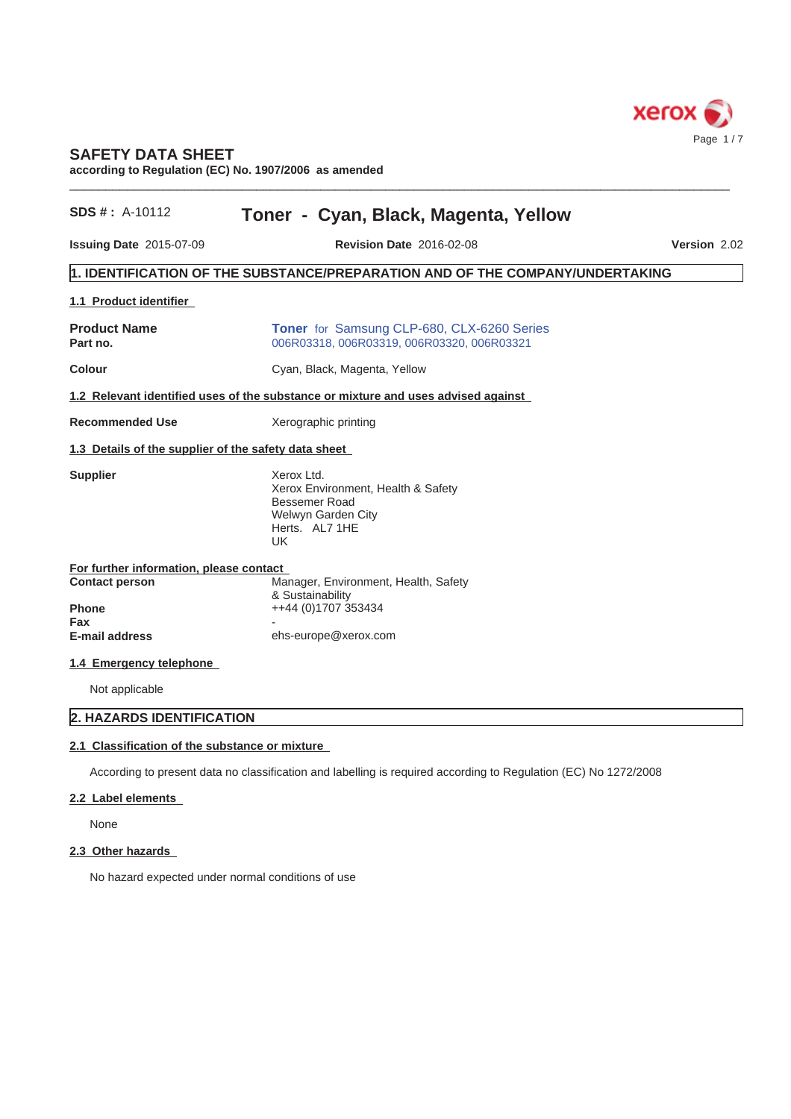

# **SAFETY DATA SHEET**

**according to Regulation (EC) No. 1907/2006 as amended**

| $SDS#$ : A-10112                                     | Toner - Cyan, Black, Magenta, Yellow                                                                                    |                     |
|------------------------------------------------------|-------------------------------------------------------------------------------------------------------------------------|---------------------|
| <b>Issuing Date 2015-07-09</b>                       | <b>Revision Date 2016-02-08</b>                                                                                         | <b>Version 2.02</b> |
|                                                      | 1. IDENTIFICATION OF THE SUBSTANCE/PREPARATION AND OF THE COMPANY/UNDERTAKING                                           |                     |
| 1.1 Product identifier                               |                                                                                                                         |                     |
| <b>Product Name</b><br>Part no.                      | <b>Toner</b> for Samsung CLP-680, CLX-6260 Series<br>006R03318, 006R03319, 006R03320, 006R03321                         |                     |
| <b>Colour</b>                                        | Cyan, Black, Magenta, Yellow                                                                                            |                     |
|                                                      | 1.2 Relevant identified uses of the substance or mixture and uses advised against                                       |                     |
| <b>Recommended Use</b>                               | Xerographic printing                                                                                                    |                     |
| 1.3 Details of the supplier of the safety data sheet |                                                                                                                         |                     |
| <b>Supplier</b>                                      | Xerox Ltd.<br>Xerox Environment, Health & Safety<br><b>Bessemer Road</b><br>Welwyn Garden City<br>Herts. AL7 1HE<br>UK. |                     |
| For further information, please contact              |                                                                                                                         |                     |
| <b>Contact person</b><br><b>Phone</b><br>Fax         | Manager, Environment, Health, Safety<br>& Sustainability<br>++44 (0)1707 353434                                         |                     |
| <b>E-mail address</b>                                | ehs-europe@xerox.com                                                                                                    |                     |
| 1.4 Emergency telephone                              |                                                                                                                         |                     |
| Not applicable                                       |                                                                                                                         |                     |
| 2. HAZARDS IDENTIFICATION                            |                                                                                                                         |                     |
| 2.1 Classification of the substance or mixture       |                                                                                                                         |                     |
|                                                      | According to present data no classification and labelling is required according to Regulation (EC) No 1272/2008         |                     |
| 2.2 Label elements                                   |                                                                                                                         |                     |

 $\_$  ,  $\_$  ,  $\_$  ,  $\_$  ,  $\_$  ,  $\_$  ,  $\_$  ,  $\_$  ,  $\_$  ,  $\_$  ,  $\_$  ,  $\_$  ,  $\_$  ,  $\_$  ,  $\_$  ,  $\_$  ,  $\_$  ,  $\_$  ,  $\_$  ,  $\_$  ,  $\_$  ,  $\_$  ,  $\_$  ,  $\_$  ,  $\_$  ,  $\_$  ,  $\_$  ,  $\_$  ,  $\_$  ,  $\_$  ,  $\_$  ,  $\_$  ,  $\_$  ,  $\_$  ,  $\_$  ,  $\_$  ,  $\_$  ,

None

# **2.3 Other hazards**

No hazard expected under normal conditions of use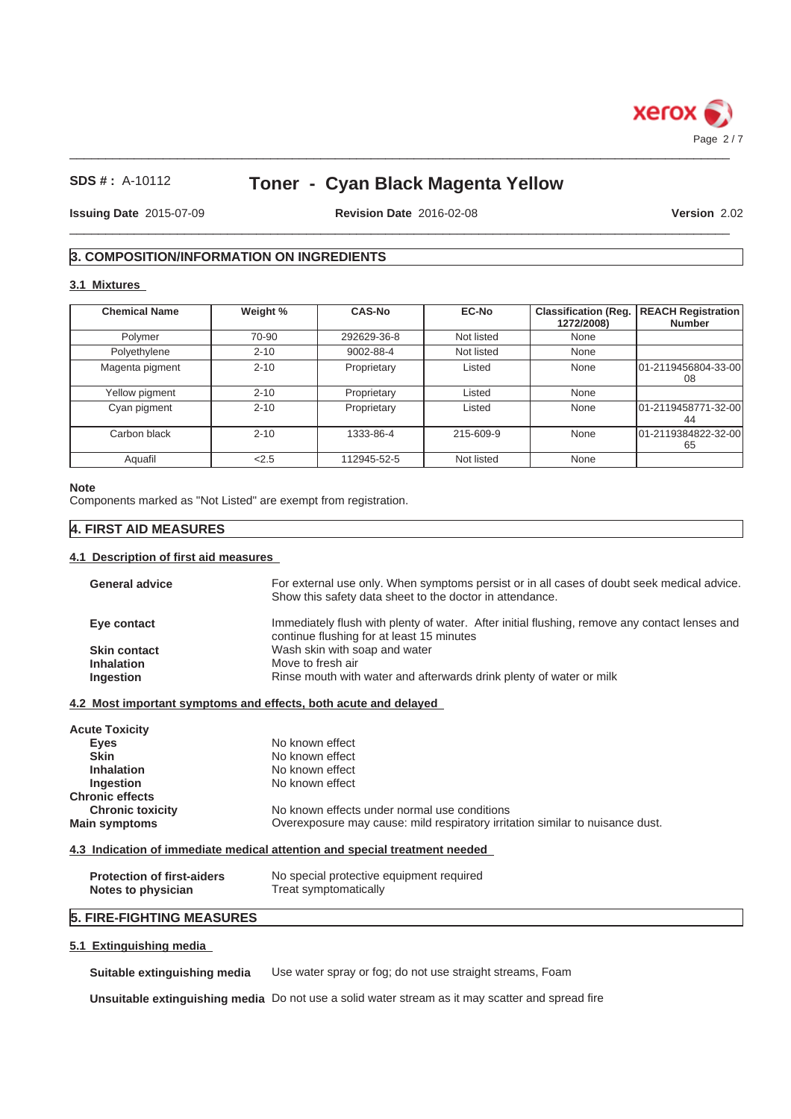

# **Toner - Cyan Black Magenta Yellow**

**Issuing Date** 2015-07-09 **Revision Date** 2016-02-08

 $\_$  ,  $\_$  ,  $\_$  ,  $\_$  ,  $\_$  ,  $\_$  ,  $\_$  ,  $\_$  ,  $\_$  ,  $\_$  ,  $\_$  ,  $\_$  ,  $\_$  ,  $\_$  ,  $\_$  ,  $\_$  ,  $\_$  ,  $\_$  ,  $\_$  ,  $\_$  ,  $\_$  ,  $\_$  ,  $\_$  ,  $\_$  ,  $\_$  ,  $\_$  ,  $\_$  ,  $\_$  ,  $\_$  ,  $\_$  ,  $\_$  ,  $\_$  ,  $\_$  ,  $\_$  ,  $\_$  ,  $\_$  ,  $\_$  ,

**Version** 2.02

# **3. COMPOSITION/INFORMATION ON INGREDIENTS**

## **3.1 Mixtures**

| <b>Chemical Name</b> | Weight % | <b>CAS-No</b> | <b>EC-No</b> | <b>Classification (Reg.</b><br>1272/2008) | <b>REACH Registration</b><br><b>Number</b> |
|----------------------|----------|---------------|--------------|-------------------------------------------|--------------------------------------------|
| Polymer              | 70-90    | 292629-36-8   | Not listed   | None                                      |                                            |
| Polyethylene         | $2 - 10$ | 9002-88-4     | Not listed   | None                                      |                                            |
| Magenta pigment      | $2 - 10$ | Proprietary   | Listed       | None                                      | 101-2119456804-33-001<br>08                |
| Yellow pigment       | $2 - 10$ | Proprietary   | Listed       | None                                      |                                            |
| Cyan pigment         | $2 - 10$ | Proprietary   | Listed       | None                                      | 101-2119458771-32-00<br>44                 |
| Carbon black         | $2 - 10$ | 1333-86-4     | 215-609-9    | None                                      | 101-2119384822-32-00<br>65                 |
| Aquafil              | 2.5      | 112945-52-5   | Not listed   | None                                      |                                            |

#### **Note**

Components marked as "Not Listed" are exempt from registration.

## **4. FIRST AID MEASURES**

### **4.1 Description of first aid measures**

| <b>General advice</b> | For external use only. When symptoms persist or in all cases of doubt seek medical advice.<br>Show this safety data sheet to the doctor in attendance. |
|-----------------------|--------------------------------------------------------------------------------------------------------------------------------------------------------|
| Eye contact           | Immediately flush with plenty of water. After initial flushing, remove any contact lenses and<br>continue flushing for at least 15 minutes             |
| <b>Skin contact</b>   | Wash skin with soap and water                                                                                                                          |
| <b>Inhalation</b>     | Move to fresh air                                                                                                                                      |
| Ingestion             | Rinse mouth with water and afterwards drink plenty of water or milk                                                                                    |

## **4.2 Most important symptoms and effects, both acute and delayed**

| <b>Acute Toxicity</b>   |                                                                               |
|-------------------------|-------------------------------------------------------------------------------|
| Eyes                    | No known effect                                                               |
| <b>Skin</b>             | No known effect                                                               |
| <b>Inhalation</b>       | No known effect                                                               |
| Ingestion               | No known effect                                                               |
| <b>Chronic effects</b>  |                                                                               |
| <b>Chronic toxicity</b> | No known effects under normal use conditions                                  |
| <b>Main symptoms</b>    | Overexposure may cause: mild respiratory irritation similar to nuisance dust. |

## **4.3 Indication of immediate medical attention and special treatment needed**

| <b>Protection of first-aiders</b> | No special protective equipment required |
|-----------------------------------|------------------------------------------|
| Notes to physician                | Treat symptomatically                    |

# **5. FIRE-FIGHTING MEASURES**

## **5.1 Extinguishing media**

**Suitable extinguishing media** Use water spray or fog; do not use straight streams, Foam

**Unsuitable extinguishing media** Do not use a solid water stream as it may scatter and spread fire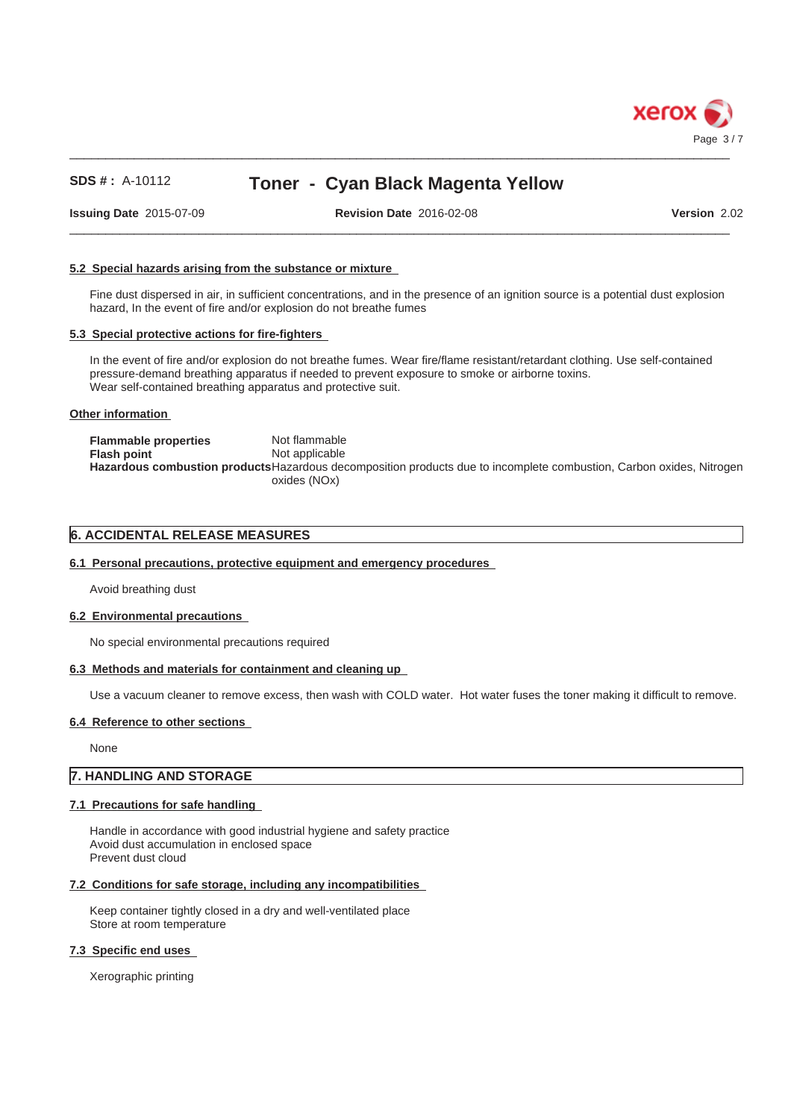

# **Toner - Cyan Black Magenta Yellow**

**Issuing Date** 2015-07-09 **Revision Date** 2016-02-08

 $\_$  ,  $\_$  ,  $\_$  ,  $\_$  ,  $\_$  ,  $\_$  ,  $\_$  ,  $\_$  ,  $\_$  ,  $\_$  ,  $\_$  ,  $\_$  ,  $\_$  ,  $\_$  ,  $\_$  ,  $\_$  ,  $\_$  ,  $\_$  ,  $\_$  ,  $\_$  ,  $\_$  ,  $\_$  ,  $\_$  ,  $\_$  ,  $\_$  ,  $\_$  ,  $\_$  ,  $\_$  ,  $\_$  ,  $\_$  ,  $\_$  ,  $\_$  ,  $\_$  ,  $\_$  ,  $\_$  ,  $\_$  ,  $\_$  ,

**Version** 2.02

## **5.2 Special hazards arising from the substance or mixture**

Fine dust dispersed in air, in sufficient concentrations, and in the presence of an ignition source is a potential dust explosion hazard, In the event of fire and/or explosion do not breathe fumes

### **5.3 Special protective actions for fire-fighters**

In the event of fire and/or explosion do not breathe fumes. Wear fire/flame resistant/retardant clothing. Use self-contained pressure-demand breathing apparatus if needed to prevent exposure to smoke or airborne toxins. Wear self-contained breathing apparatus and protective suit.

#### **Other information**

| <b>Flammable properties</b> | Not flammable                                                                                                        |
|-----------------------------|----------------------------------------------------------------------------------------------------------------------|
| Flash point                 | Not applicable                                                                                                       |
|                             | Hazardous combustion products Hazardous decomposition products due to incomplete combustion, Carbon oxides, Nitrogen |
|                             | oxides (NOx)                                                                                                         |

## **6. ACCIDENTAL RELEASE MEASURES**

### **6.1 Personal precautions, protective equipment and emergency procedures**

Avoid breathing dust

### **6.2 Environmental precautions**

No special environmental precautions required

### **6.3 Methods and materials for containment and cleaning up**

Use a vacuum cleaner to remove excess, then wash with COLD water. Hot water fuses the toner making it difficult to remove.

### **6.4 Reference to other sections**

None

## **7. HANDLING AND STORAGE**

### **7.1 Precautions for safe handling**

Handle in accordance with good industrial hygiene and safety practice Avoid dust accumulation in enclosed space Prevent dust cloud

## **7.2 Conditions for safe storage, including any incompatibilities**

Keep container tightly closed in a dry and well-ventilated place Store at room temperature

#### **7.3 Specific end uses**

Xerographic printing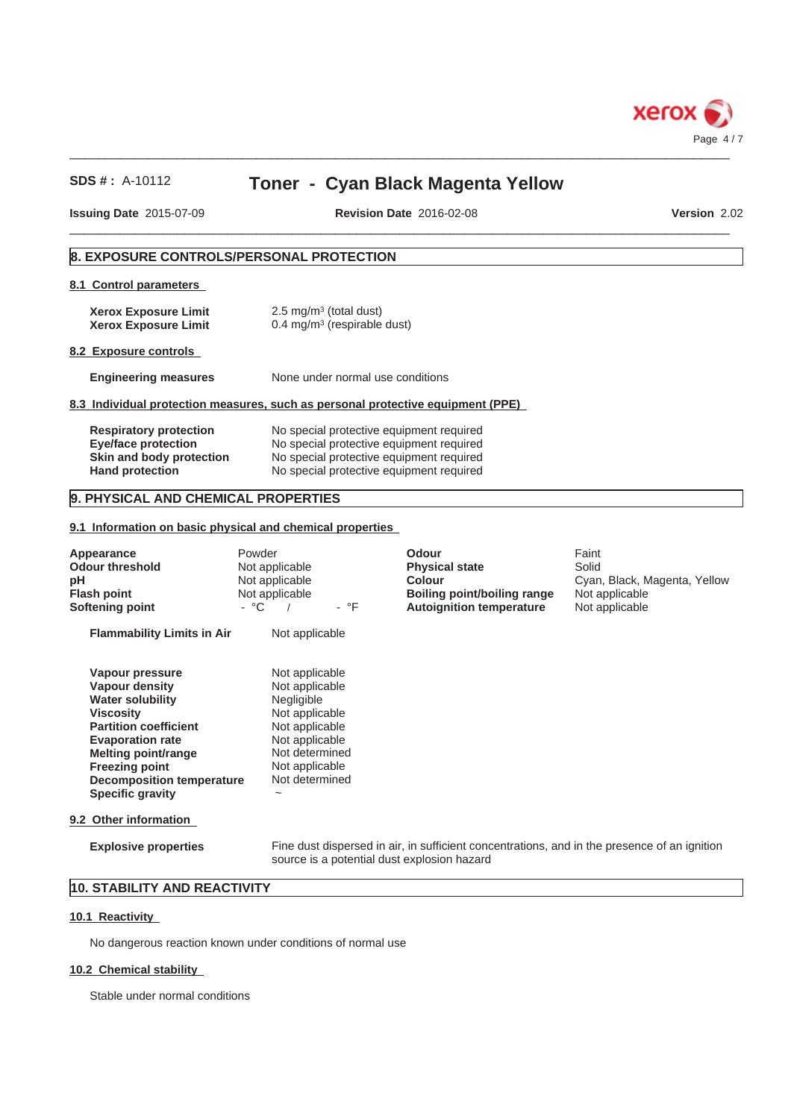

# **Toner - Cyan Black Magenta Yellow**

**Issuing Date** 2015-07-09

 $\_$  ,  $\_$  ,  $\_$  ,  $\_$  ,  $\_$  ,  $\_$  ,  $\_$  ,  $\_$  ,  $\_$  ,  $\_$  ,  $\_$  ,  $\_$  ,  $\_$  ,  $\_$  ,  $\_$  ,  $\_$  ,  $\_$  ,  $\_$  ,  $\_$  ,  $\_$  ,  $\_$  ,  $\_$  ,  $\_$  ,  $\_$  ,  $\_$  ,  $\_$  ,  $\_$  ,  $\_$  ,  $\_$  ,  $\_$  ,  $\_$  ,  $\_$  ,  $\_$  ,  $\_$  ,  $\_$  ,  $\_$  ,  $\_$  , **Revision Date** 2016-02-08

**Version** 2.02

# **8. EXPOSURE CONTROLS/PERSONAL PROTECTION**

## **8.1 Control parameters**

| <b>Xerox Exposure Limit</b> | $2.5 \text{ mg/m}^3$ (total dust)         |
|-----------------------------|-------------------------------------------|
| <b>Xerox Exposure Limit</b> | $0.4 \,\mathrm{mg/m^3}$ (respirable dust) |

#### **8.2 Exposure controls**

**Engineering measures** None under normal use conditions

## **8.3 Individual protection measures, such as personal protective equipment (PPE)**

| <b>Respiratory protection</b> | No special protective equipment required |
|-------------------------------|------------------------------------------|
| Eye/face protection           | No special protective equipment required |
| Skin and body protection      | No special protective equipment required |
| <b>Hand protection</b>        | No special protective equipment required |

## **9. PHYSICAL AND CHEMICAL PROPERTIES**

#### **9.1 Information on basic physical and chemical properties**

| Appearance<br><b>Odour threshold</b><br>рH<br><b>Flash point</b><br>Softening point                                                                                                                                                                        | Powder<br>Not applicable<br>Not applicable<br>Not applicable<br>- °C<br>- °F                                                                                                        | Odour<br><b>Physical state</b><br><b>Colour</b><br>Boiling point/boiling range<br><b>Autoignition temperature</b> | Faint<br>Solid<br>Cyan, Black, Magenta, Yellow<br>Not applicable<br>Not applicable |
|------------------------------------------------------------------------------------------------------------------------------------------------------------------------------------------------------------------------------------------------------------|-------------------------------------------------------------------------------------------------------------------------------------------------------------------------------------|-------------------------------------------------------------------------------------------------------------------|------------------------------------------------------------------------------------|
| <b>Flammability Limits in Air</b>                                                                                                                                                                                                                          | Not applicable                                                                                                                                                                      |                                                                                                                   |                                                                                    |
| Vapour pressure<br>Vapour density<br><b>Water solubility</b><br><b>Viscosity</b><br><b>Partition coefficient</b><br><b>Evaporation rate</b><br>Melting point/range<br><b>Freezing point</b><br><b>Decomposition temperature</b><br><b>Specific gravity</b> | Not applicable<br>Not applicable<br>Negligible<br>Not applicable<br>Not applicable<br>Not applicable<br>Not determined<br>Not applicable<br>Not determined<br>$\tilde{\phantom{a}}$ |                                                                                                                   |                                                                                    |
| 9.2 Other information                                                                                                                                                                                                                                      |                                                                                                                                                                                     |                                                                                                                   |                                                                                    |
| <b>Explosive properties</b>                                                                                                                                                                                                                                | source is a potential dust explosion hazard                                                                                                                                         | Fine dust dispersed in air, in sufficient concentrations, and in the presence of an ignition                      |                                                                                    |

# **10. STABILITY AND REACTIVITY**

## **10.1 Reactivity**

No dangerous reaction known under conditions of normal use

### **10.2 Chemical stability**

Stable under normal conditions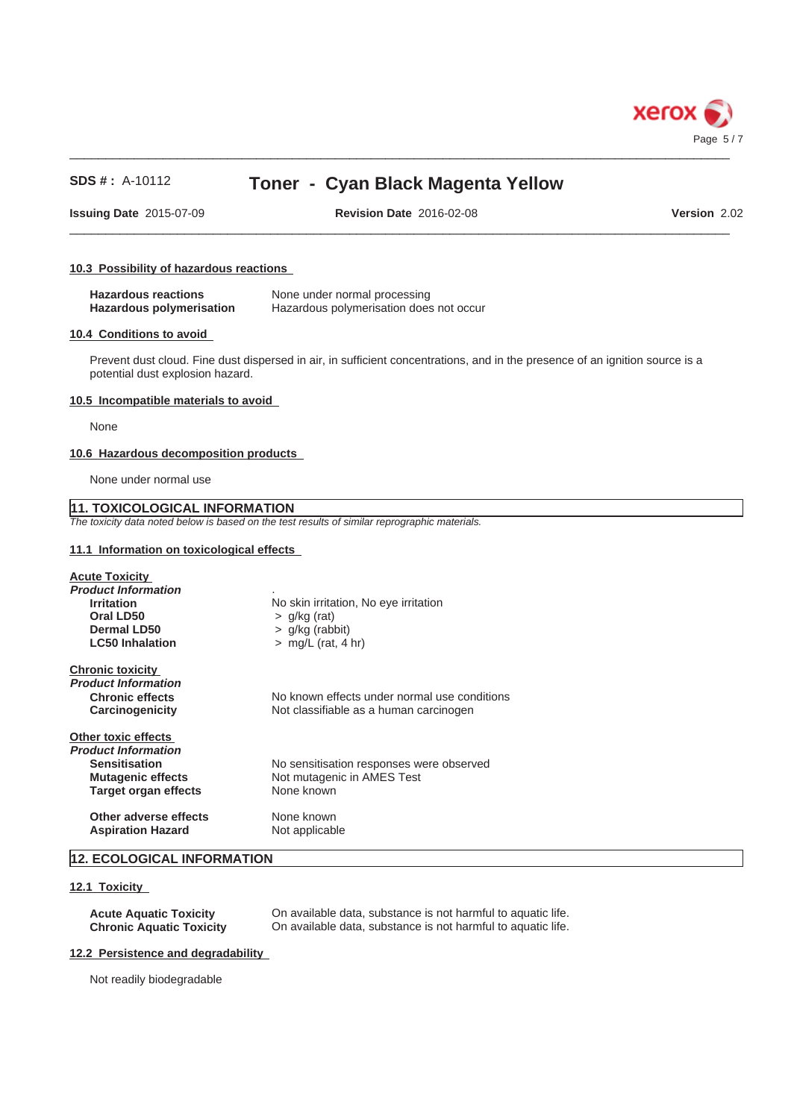

# **Toner - Cyan Black Magenta Yellow**

**Issuing Date** 2015-07-09 **Revision Date** 2016-02-08

 $\_$  ,  $\_$  ,  $\_$  ,  $\_$  ,  $\_$  ,  $\_$  ,  $\_$  ,  $\_$  ,  $\_$  ,  $\_$  ,  $\_$  ,  $\_$  ,  $\_$  ,  $\_$  ,  $\_$  ,  $\_$  ,  $\_$  ,  $\_$  ,  $\_$  ,  $\_$  ,  $\_$  ,  $\_$  ,  $\_$  ,  $\_$  ,  $\_$  ,  $\_$  ,  $\_$  ,  $\_$  ,  $\_$  ,  $\_$  ,  $\_$  ,  $\_$  ,  $\_$  ,  $\_$  ,  $\_$  ,  $\_$  ,  $\_$  ,

**Version** 2.02

### **10.3 Possibility of hazardous reactions**

| <b>Hazardous reactions</b> | None under normal processing            |
|----------------------------|-----------------------------------------|
| Hazardous polymerisation   | Hazardous polymerisation does not occur |

#### **10.4 Conditions to avoid**

Prevent dust cloud. Fine dust dispersed in air, in sufficient concentrations, and in the presence of an ignition source is a potential dust explosion hazard.

## **10.5 Incompatible materials to avoid**

None

### **10.6 Hazardous decomposition products**

None under normal use

# **11. TOXICOLOGICAL INFORMATION**

*The toxicity data noted below is based on the test results of similar reprographic materials.*

## **11.1 Information on toxicological effects**

| <b>Acute Toxicity</b><br><b>Product Information</b><br><b>Irritation</b><br>Oral LD50<br>Dermal LD50<br><b>LC50 Inhalation</b>       | No skin irritation, No eye irritation<br>$>$ g/kg (rat)<br>$>$ g/kg (rabbit)<br>$>$ mg/L (rat, 4 hr) |
|--------------------------------------------------------------------------------------------------------------------------------------|------------------------------------------------------------------------------------------------------|
| <b>Chronic toxicity</b><br><b>Product Information</b><br><b>Chronic effects</b><br>Carcinogenicity                                   | No known effects under normal use conditions<br>Not classifiable as a human carcinogen               |
| Other toxic effects<br><b>Product Information</b><br><b>Sensitisation</b><br><b>Mutagenic effects</b><br><b>Target organ effects</b> | No sensitisation responses were observed<br>Not mutagenic in AMES Test<br>None known                 |
| Other adverse effects<br><b>Aspiration Hazard</b>                                                                                    | None known<br>Not applicable                                                                         |

# **12. ECOLOGICAL INFORMATION**

#### **12.1 Toxicity**

**Acute Aquatic Toxicity** On available data, substance is not harmful to aquatic life.<br> **Chronic Aquatic Toxicity** On available data, substance is not harmful to aquatic life. On available data, substance is not harmful to aquatic life.

#### **12.2 Persistence and degradability**

Not readily biodegradable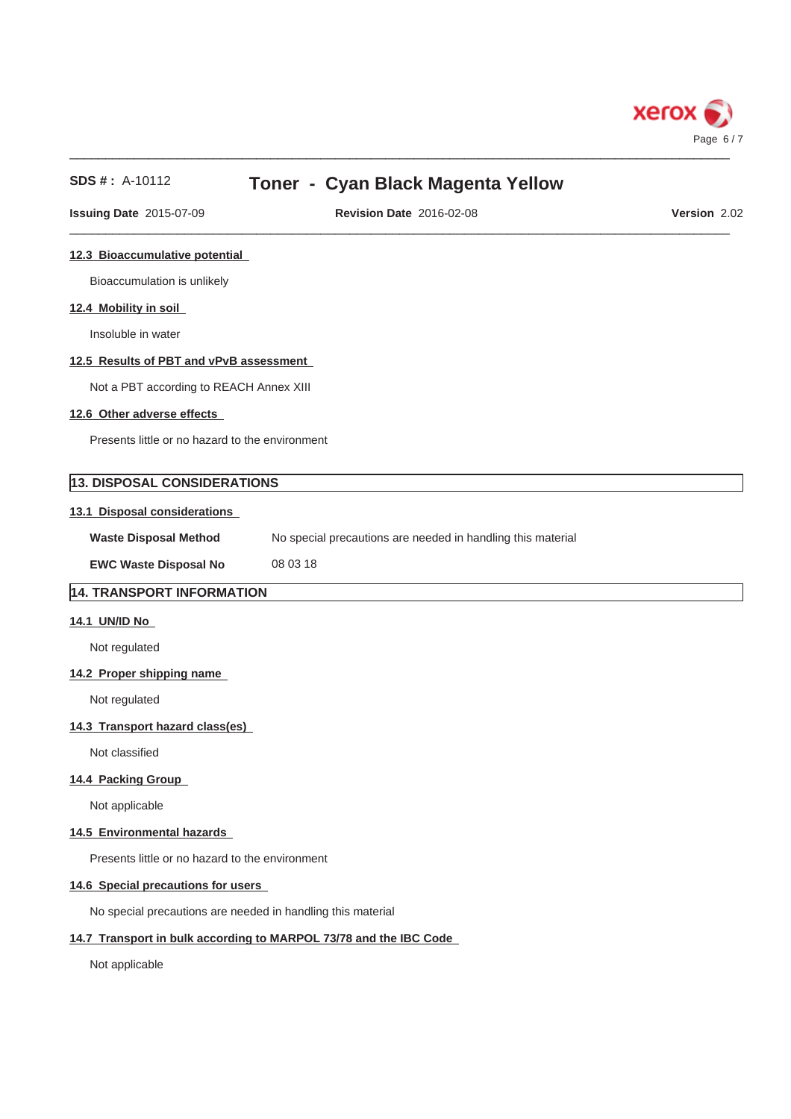

| $SDS #: A-10112$                                | Toner - Cyan Black Magenta Yellow                           |              |
|-------------------------------------------------|-------------------------------------------------------------|--------------|
| <b>Issuing Date 2015-07-09</b>                  | <b>Revision Date 2016-02-08</b>                             | Version 2.02 |
| 12.3 Bioaccumulative potential                  |                                                             |              |
| Bioaccumulation is unlikely                     |                                                             |              |
| 12.4 Mobility in soil                           |                                                             |              |
| Insoluble in water                              |                                                             |              |
| 12.5 Results of PBT and vPvB assessment         |                                                             |              |
| Not a PBT according to REACH Annex XIII         |                                                             |              |
| 12.6 Other adverse effects                      |                                                             |              |
| Presents little or no hazard to the environment |                                                             |              |
| <b>13. DISPOSAL CONSIDERATIONS</b>              |                                                             |              |
| 13.1 Disposal considerations                    |                                                             |              |
| <b>Waste Disposal Method</b>                    | No special precautions are needed in handling this material |              |
| <b>EWC Waste Disposal No</b>                    | 08 03 18                                                    |              |
| 14. TRANSPORT INFORMATION                       |                                                             |              |
| 14.1 UN/ID No                                   |                                                             |              |
| Not regulated                                   |                                                             |              |
| 14.2 Proper shipping name                       |                                                             |              |
| Not regulated                                   |                                                             |              |
| 14.3 Transport hazard class(es)                 |                                                             |              |
| Not classified                                  |                                                             |              |
| 14.4 Packing Group                              |                                                             |              |
| Not applicable                                  |                                                             |              |

## **14.5 Environmental hazards**

Presents little or no hazard to the environment

# **14.6 Special precautions for users**

No special precautions are needed in handling this material

# **14.7 Transport in bulk according to MARPOL 73/78 and the IBC Code**

Not applicable